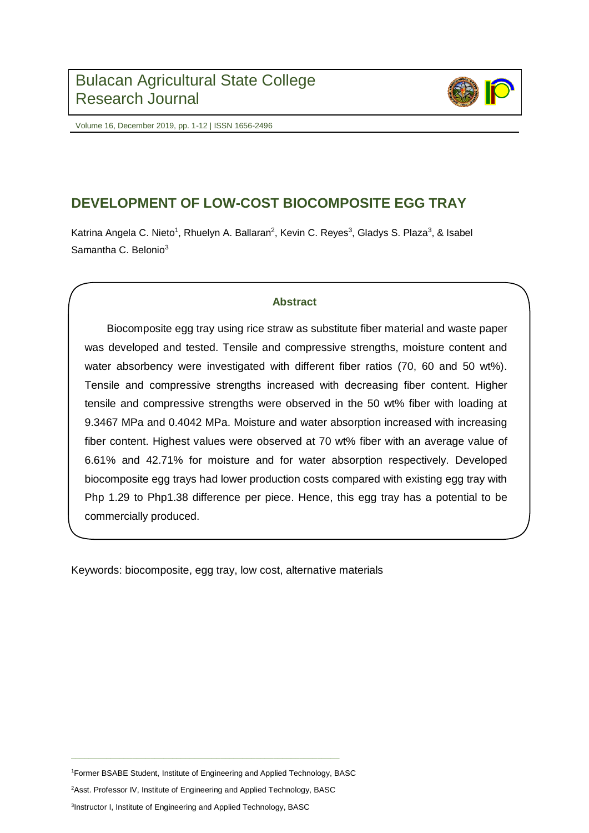

Volume 16, December 2019, pp. 1-12 | ISSN 1656-2496

# **DEVELOPMENT OF LOW-COST BIOCOMPOSITE EGG TRAY**

Katrina Angela C. Nieto<sup>1</sup>, Rhuelyn A. Ballaran<sup>2</sup>, Kevin C. Reyes<sup>3</sup>, Gladys S. Plaza<sup>3</sup>, & Isabel Samantha C. Belonio<sup>3</sup>

# **Abstract**

Biocomposite egg tray using rice straw as substitute fiber material and waste paper was developed and tested. Tensile and compressive strengths, moisture content and water absorbency were investigated with different fiber ratios (70, 60 and 50 wt%). Tensile and compressive strengths increased with decreasing fiber content. Higher tensile and compressive strengths were observed in the 50 wt% fiber with loading at 9.3467 MPa and 0.4042 MPa. Moisture and water absorption increased with increasing fiber content. Highest values were observed at 70 wt% fiber with an average value of 6.61% and 42.71% for moisture and for water absorption respectively. Developed biocomposite egg trays had lower production costs compared with existing egg tray with Php 1.29 to Php1.38 difference per piece. Hence, this egg tray has a potential to be commercially produced.

Keywords: biocomposite, egg tray, low cost, alternative materials

<sup>1</sup>Former BSABE Student, Institute of Engineering and Applied Technology, BASC

<sup>2</sup>Asst. Professor IV, Institute of Engineering and Applied Technology, BASC

\_\_\_\_\_\_\_\_\_\_\_\_\_\_\_\_\_\_\_\_\_\_\_\_\_\_\_\_\_\_\_\_\_\_\_\_\_\_\_\_\_\_\_\_\_\_\_\_\_\_\_\_\_\_\_\_\_\_\_\_\_

3 Instructor I, Institute of Engineering and Applied Technology, BASC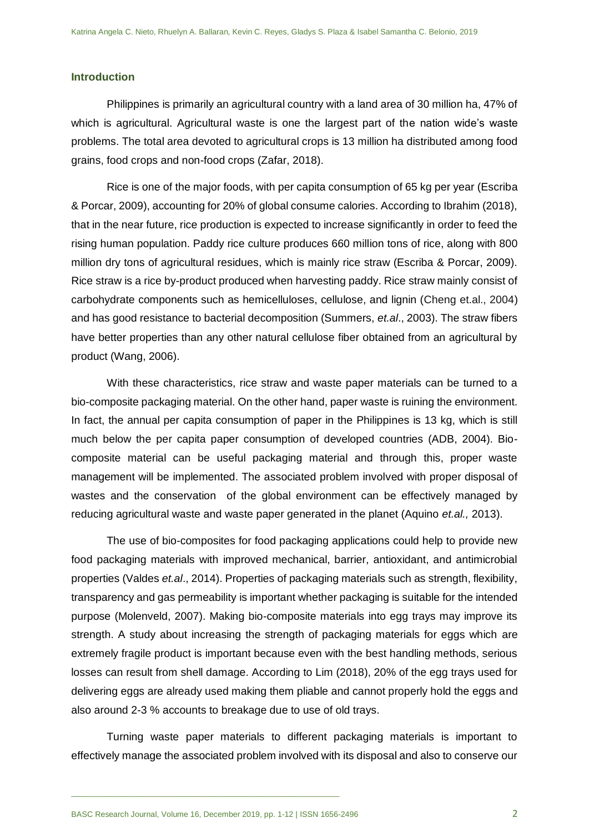#### **Introduction**

Philippines is primarily an agricultural country with a land area of 30 million ha, 47% of which is agricultural. Agricultural waste is one the largest part of the nation wide's waste problems. The total area devoted to agricultural crops is 13 million ha distributed among food grains, food crops and non-food crops (Zafar, 2018).

Rice is one of the major foods, with per capita consumption of 65 kg per year (Escriba & Porcar, 2009), accounting for 20% of global consume calories. According to Ibrahim (2018), that in the near future, rice production is expected to increase significantly in order to feed the rising human population. Paddy rice culture produces 660 million tons of rice, along with 800 million dry tons of agricultural residues, which is mainly rice straw (Escriba & Porcar, 2009). Rice straw is a rice by-product produced when harvesting paddy. Rice straw mainly consist of carbohydrate components such as hemicelluloses, cellulose, and lignin (Cheng et.al., 2004) and has good resistance to bacterial decomposition (Summers, *et.al*., 2003). The straw fibers have better properties than any other natural cellulose fiber obtained from an agricultural by product (Wang, 2006).

With these characteristics, rice straw and waste paper materials can be turned to a bio-composite packaging material. On the other hand, paper waste is ruining the environment. In fact, the annual per capita consumption of paper in the Philippines is 13 kg, which is still much below the per capita paper consumption of developed countries (ADB, 2004). Biocomposite material can be useful packaging material and through this, proper waste management will be implemented. The associated problem involved with proper disposal of wastes and the conservation of the global environment can be effectively managed by reducing agricultural waste and waste paper generated in the planet (Aquino *et.al.,* 2013).

The use of bio-composites for food packaging applications could help to provide new food packaging materials with improved mechanical, barrier, antioxidant, and antimicrobial properties (Valdes *et.al*., 2014). Properties of packaging materials such as strength, flexibility, transparency and gas permeability is important whether packaging is suitable for the intended purpose (Molenveld, 2007). Making bio-composite materials into egg trays may improve its strength. A study about increasing the strength of packaging materials for eggs which are extremely fragile product is important because even with the best handling methods, serious losses can result from shell damage. According to Lim (2018), 20% of the egg trays used for delivering eggs are already used making them pliable and cannot properly hold the eggs and also around 2-3 % accounts to breakage due to use of old trays.

Turning waste paper materials to different packaging materials is important to effectively manage the associated problem involved with its disposal and also to conserve our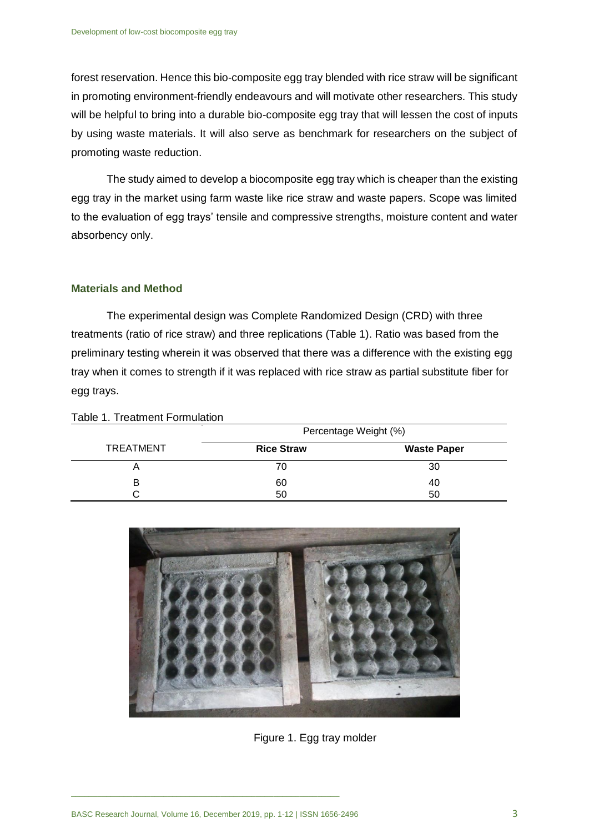forest reservation. Hence this bio-composite egg tray blended with rice straw will be significant in promoting environment-friendly endeavours and will motivate other researchers. This study will be helpful to bring into a durable bio-composite egg tray that will lessen the cost of inputs by using waste materials. It will also serve as benchmark for researchers on the subject of promoting waste reduction.

The study aimed to develop a biocomposite egg tray which is cheaper than the existing egg tray in the market using farm waste like rice straw and waste papers. Scope was limited to the evaluation of egg trays' tensile and compressive strengths, moisture content and water absorbency only.

#### **Materials and Method**

The experimental design was Complete Randomized Design (CRD) with three treatments (ratio of rice straw) and three replications (Table 1). Ratio was based from the preliminary testing wherein it was observed that there was a difference with the existing egg tray when it comes to strength if it was replaced with rice straw as partial substitute fiber for egg trays.

|                  | Percentage Weight (%) |                    |  |
|------------------|-----------------------|--------------------|--|
| <b>TREATMENT</b> | <b>Rice Straw</b>     | <b>Waste Paper</b> |  |
|                  | 70                    | 30                 |  |
| в                | 60                    | 40                 |  |
|                  | 50                    | 50                 |  |





Figure 1. Egg tray molder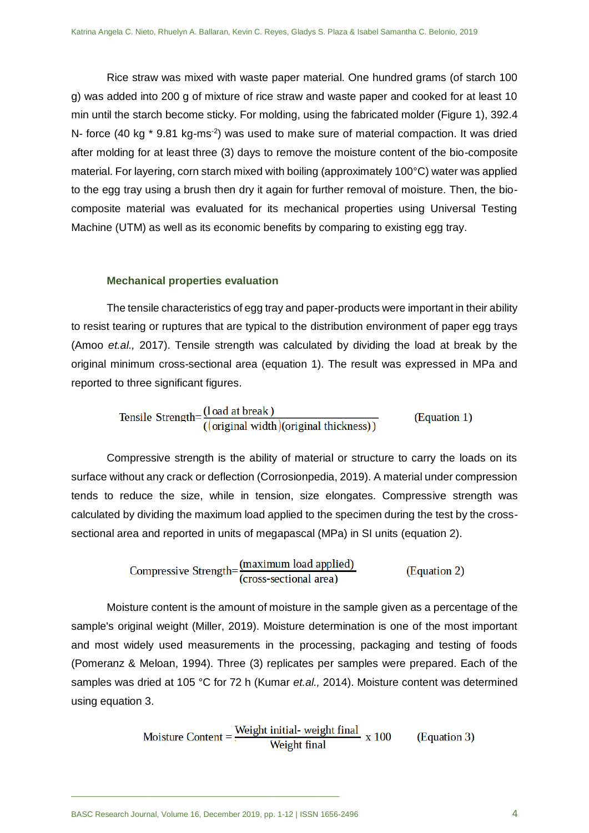Rice straw was mixed with waste paper material. One hundred grams (of starch 100 g) was added into 200 g of mixture of rice straw and waste paper and cooked for at least 10 min until the starch become sticky. For molding, using the fabricated molder (Figure 1), 392.4 N- force (40 kg  $*$  9.81 kg-ms<sup>-2</sup>) was used to make sure of material compaction. It was dried after molding for at least three (3) days to remove the moisture content of the bio-composite material. For layering, corn starch mixed with boiling (approximately 100°C) water was applied to the egg tray using a brush then dry it again for further removal of moisture. Then, the biocomposite material was evaluated for its mechanical properties using Universal Testing Machine (UTM) as well as its economic benefits by comparing to existing egg tray.

#### **Mechanical properties evaluation**

The tensile characteristics of egg tray and paper-products were important in their ability to resist tearing or ruptures that are typical to the distribution environment of paper egg trays (Amoo *et.al.,* 2017). Tensile strength was calculated by dividing the load at break by the original minimum cross-sectional area (equation 1). The result was expressed in MPa and reported to three significant figures.

Tensile Strength=
$$
\frac{(\text{load at break})}{((\text{original width})(\text{original thickness}))}
$$
 (Equation 1)

Compressive strength is the ability of material or structure to carry the loads on its surface without any crack or deflection (Corrosionpedia, 2019). A material under compression tends to reduce the size, while in tension, size elongates. Compressive strength was calculated by dividing the maximum load applied to the specimen during the test by the crosssectional area and reported in units of megapascal (MPa) in SI units (equation 2).

Compressive Strength=
$$
\frac{(maximum load applied)}{(cross-sectional area)}
$$
(Equation 2)

Moisture content is the amount of moisture in the sample given as a percentage of the sample's original weight (Miller, 2019). Moisture determination is one of the most important and most widely used measurements in the processing, packaging and testing of foods (Pomeranz & Meloan, 1994). Three (3) replicates per samples were prepared. Each of the samples was dried at 105 °C for 72 h (Kumar *et.al.,* 2014). Moisture content was determined using equation 3.

Moisture Content = 
$$
\frac{\text{Weight initial- weight final}}{\text{Weight final}} \times 100
$$
 (Equation 3)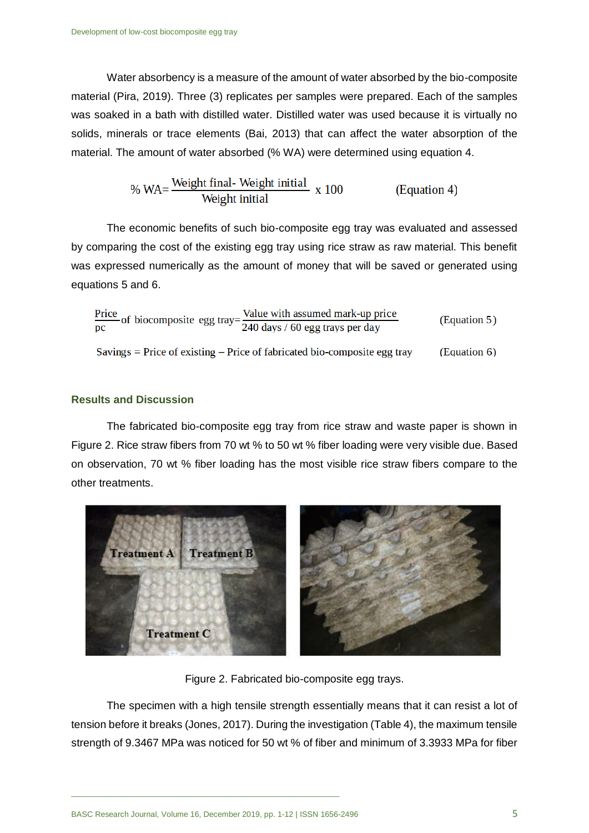Water absorbency is a measure of the amount of water absorbed by the bio-composite material (Pira, 2019). Three (3) replicates per samples were prepared. Each of the samples was soaked in a bath with distilled water. Distilled water was used because it is virtually no solids, minerals or trace elements (Bai, 2013) that can affect the water absorption of the material. The amount of water absorbed (% WA) were determined using equation 4.

$$
\% WA = \frac{Weight final - Weight initial}{Weight initial} \times 100
$$
 (Equation 4)

The economic benefits of such bio-composite egg tray was evaluated and assessed by comparing the cost of the existing egg tray using rice straw as raw material. This benefit was expressed numerically as the amount of money that will be saved or generated using equations 5 and 6.

### **Results and Discussion**

The fabricated bio-composite egg tray from rice straw and waste paper is shown in Figure 2. Rice straw fibers from 70 wt % to 50 wt % fiber loading were very visible due. Based on observation, 70 wt % fiber loading has the most visible rice straw fibers compare to the other treatments.



Figure 2. Fabricated bio-composite egg trays.

The specimen with a high tensile strength essentially means that it can resist a lot of tension before it breaks (Jones, 2017). During the investigation (Table 4), the maximum tensile strength of 9.3467 MPa was noticed for 50 wt % of fiber and minimum of 3.3933 MPa for fiber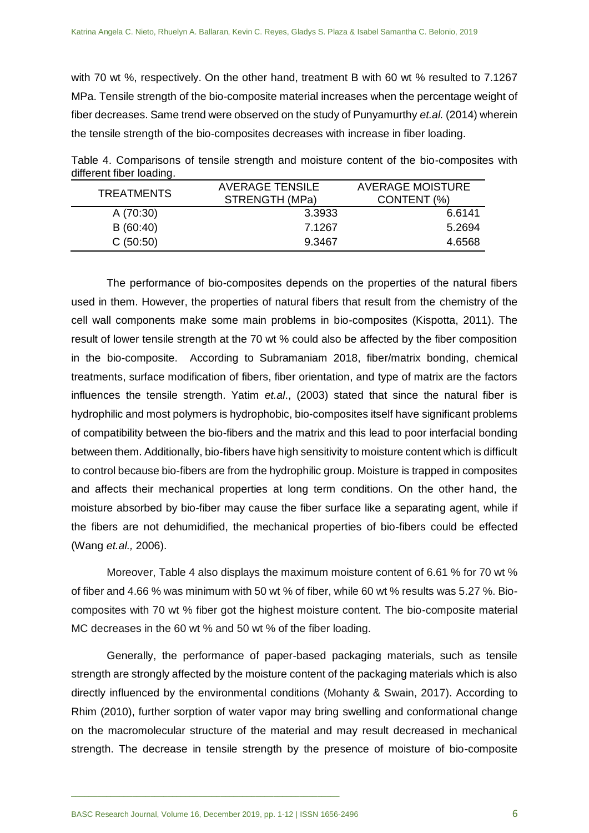with 70 wt %, respectively. On the other hand, treatment B with 60 wt % resulted to 7.1267 MPa. Tensile strength of the bio-composite material increases when the percentage weight of fiber decreases. Same trend were observed on the study of Punyamurthy *et.al.* (2014) wherein the tensile strength of the bio-composites decreases with increase in fiber loading.

Table 4. Comparisons of tensile strength and moisture content of the bio-composites with different fiber loading.

| <b>TREATMENTS</b> | <b>AVERAGE TENSILE</b><br>STRENGTH (MPa) | AVERAGE MOISTURE<br>CONTENT (%) |  |
|-------------------|------------------------------------------|---------------------------------|--|
| A (70:30)         | 3.3933                                   | 6.6141                          |  |
| B(60:40)          | 7.1267                                   | 5.2694                          |  |
| C(50:50)          | 9.3467                                   | 4.6568                          |  |

The performance of bio-composites depends on the properties of the natural fibers used in them. However, the properties of natural fibers that result from the chemistry of the cell wall components make some main problems in bio-composites (Kispotta, 2011). The result of lower tensile strength at the 70 wt % could also be affected by the fiber composition in the bio-composite. According to Subramaniam 2018, fiber/matrix bonding, chemical treatments, surface modification of fibers, fiber orientation, and type of matrix are the factors influences the tensile strength. Yatim *et.al*., (2003) stated that since the natural fiber is hydrophilic and most polymers is hydrophobic, bio-composites itself have significant problems of compatibility between the bio-fibers and the matrix and this lead to poor interfacial bonding between them. Additionally, bio-fibers have high sensitivity to moisture content which is difficult to control because bio-fibers are from the hydrophilic group. Moisture is trapped in composites and affects their mechanical properties at long term conditions. On the other hand, the moisture absorbed by bio-fiber may cause the fiber surface like a separating agent, while if the fibers are not dehumidified, the mechanical properties of bio-fibers could be effected (Wang *et.al.,* 2006).

Moreover, Table 4 also displays the maximum moisture content of 6.61 % for 70 wt % of fiber and 4.66 % was minimum with 50 wt % of fiber, while 60 wt % results was 5.27 %. Biocomposites with 70 wt % fiber got the highest moisture content. The bio-composite material MC decreases in the 60 wt % and 50 wt % of the fiber loading.

Generally, the performance of paper-based packaging materials, such as tensile strength are strongly affected by the moisture content of the packaging materials which is also directly influenced by the environmental conditions (Mohanty & Swain, 2017). According to Rhim (2010), further sorption of water vapor may bring swelling and conformational change on the macromolecular structure of the material and may result decreased in mechanical strength. The decrease in tensile strength by the presence of moisture of bio-composite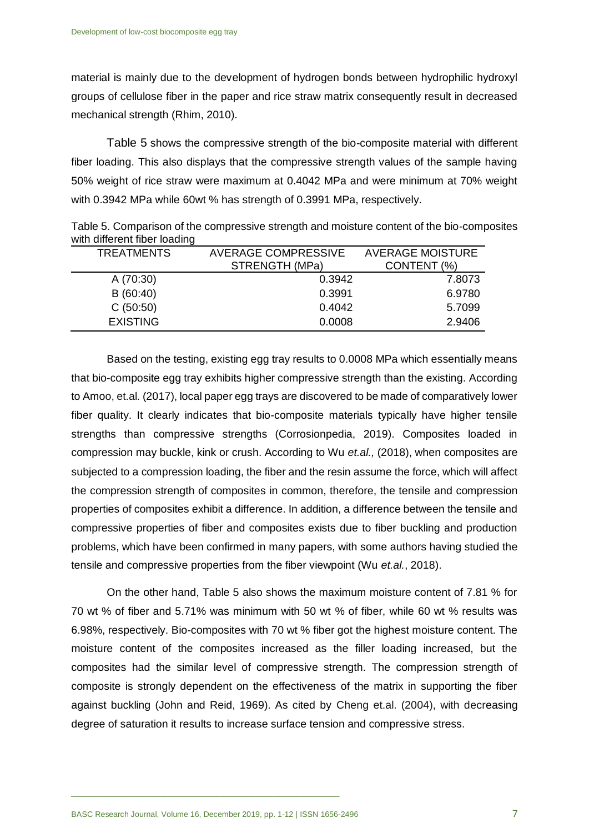material is mainly due to the development of hydrogen bonds between hydrophilic hydroxyl groups of cellulose fiber in the paper and rice straw matrix consequently result in decreased mechanical strength (Rhim, 2010).

Table 5 shows the compressive strength of the bio-composite material with different fiber loading. This also displays that the compressive strength values of the sample having 50% weight of rice straw were maximum at 0.4042 MPa and were minimum at 70% weight with 0.3942 MPa while 60wt % has strength of 0.3991 MPa, respectively.

Table 5. Comparison of the compressive strength and moisture content of the bio-composites with different fiber loading

| <b>TREATMENTS</b> | <b>AVERAGE COMPRESSIVE</b> | <b>AVERAGE MOISTURE</b> |  |
|-------------------|----------------------------|-------------------------|--|
|                   | STRENGTH (MPa)             | CONTENT (%)             |  |
| A (70:30)         | 0.3942                     | 7.8073                  |  |
| B(60:40)          | 0.3991                     | 6.9780                  |  |
| C(50:50)          | 0.4042                     | 5.7099                  |  |
| <b>EXISTING</b>   | 0.0008                     | 2.9406                  |  |

Based on the testing, existing egg tray results to 0.0008 MPa which essentially means that bio-composite egg tray exhibits higher compressive strength than the existing. According to Amoo, et.al. (2017), local paper egg trays are discovered to be made of comparatively lower fiber quality. It clearly indicates that bio-composite materials typically have higher tensile strengths than compressive strengths (Corrosionpedia, 2019). Composites loaded in compression may buckle, kink or crush. According to Wu *et.al.,* (2018), when composites are subjected to a compression loading, the fiber and the resin assume the force, which will affect the compression strength of composites in common, therefore, the tensile and compression properties of composites exhibit a difference. In addition, a difference between the tensile and compressive properties of fiber and composites exists due to fiber buckling and production problems, which have been confirmed in many papers, with some authors having studied the tensile and compressive properties from the fiber viewpoint (Wu *et.al.*, 2018).

On the other hand, Table 5 also shows the maximum moisture content of 7.81 % for 70 wt % of fiber and 5.71% was minimum with 50 wt % of fiber, while 60 wt % results was 6.98%, respectively. Bio-composites with 70 wt % fiber got the highest moisture content. The moisture content of the composites increased as the filler loading increased, but the composites had the similar level of compressive strength. The compression strength of composite is strongly dependent on the effectiveness of the matrix in supporting the fiber against buckling (John and Reid, 1969). As cited by Cheng et.al. (2004), with decreasing degree of saturation it results to increase surface tension and compressive stress.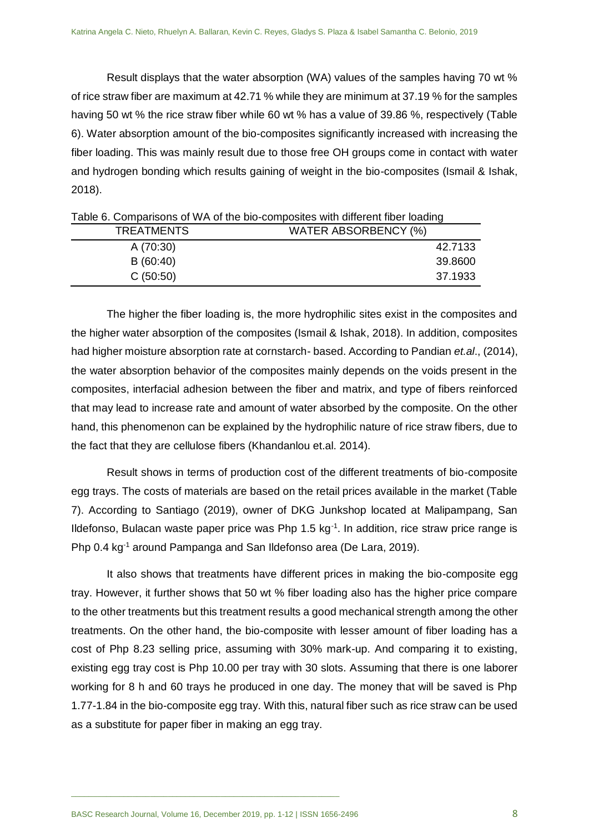Result displays that the water absorption (WA) values of the samples having 70 wt % of rice straw fiber are maximum at 42.71 % while they are minimum at 37.19 % for the samples having 50 wt % the rice straw fiber while 60 wt % has a value of 39.86 %, respectively (Table 6). Water absorption amount of the bio-composites significantly increased with increasing the fiber loading. This was mainly result due to those free OH groups come in contact with water and hydrogen bonding which results gaining of weight in the bio-composites (Ismail & Ishak, 2018).

| <b>TREATMENTS</b> | WATER ABSORBENCY (%) |
|-------------------|----------------------|
| A (70:30)         | 42.7133              |
| B(60:40)          | 39.8600              |
| C(50:50)          | 37.1933              |

Table 6. Comparisons of WA of the bio-composites with different fiber loading

The higher the fiber loading is, the more hydrophilic sites exist in the composites and the higher water absorption of the composites (Ismail & Ishak, 2018). In addition, composites had higher moisture absorption rate at cornstarch- based. According to Pandian *et.al*., (2014), the water absorption behavior of the composites mainly depends on the voids present in the composites, interfacial adhesion between the fiber and matrix, and type of fibers reinforced that may lead to increase rate and amount of water absorbed by the composite. On the other hand, this phenomenon can be explained by the hydrophilic nature of rice straw fibers, due to the fact that they are cellulose fibers (Khandanlou et.al. 2014).

Result shows in terms of production cost of the different treatments of bio-composite egg trays. The costs of materials are based on the retail prices available in the market (Table 7). According to Santiago (2019), owner of DKG Junkshop located at Malipampang, San Ildefonso, Bulacan waste paper price was Php 1.5  $kg<sup>-1</sup>$ . In addition, rice straw price range is Php 0.4 kg<sup>-1</sup> around Pampanga and San Ildefonso area (De Lara, 2019).

It also shows that treatments have different prices in making the bio-composite egg tray. However, it further shows that 50 wt % fiber loading also has the higher price compare to the other treatments but this treatment results a good mechanical strength among the other treatments. On the other hand, the bio-composite with lesser amount of fiber loading has a cost of Php 8.23 selling price, assuming with 30% mark-up. And comparing it to existing, existing egg tray cost is Php 10.00 per tray with 30 slots. Assuming that there is one laborer working for 8 h and 60 trays he produced in one day. The money that will be saved is Php 1.77-1.84 in the bio-composite egg tray. With this, natural fiber such as rice straw can be used as a substitute for paper fiber in making an egg tray.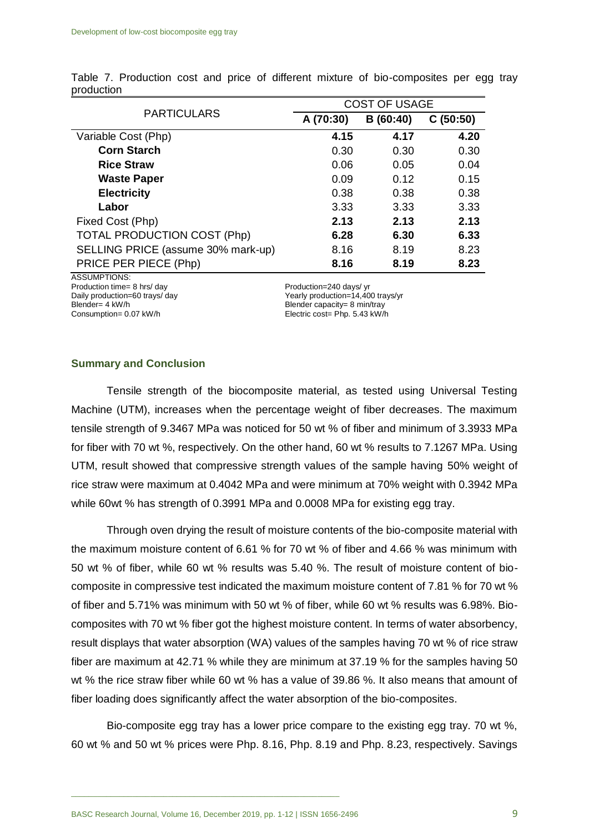|                                    | <b>COST OF USAGE</b> |          |          |
|------------------------------------|----------------------|----------|----------|
| <b>PARTICULARS</b>                 | A (70:30)            | B(60:40) | C(50:50) |
| Variable Cost (Php)                | 4.15                 | 4.17     | 4.20     |
| <b>Corn Starch</b>                 | 0.30                 | 0.30     | 0.30     |
| <b>Rice Straw</b>                  | 0.06                 | 0.05     | 0.04     |
| <b>Waste Paper</b>                 | 0.09                 | 0.12     | 0.15     |
| <b>Electricity</b>                 | 0.38                 | 0.38     | 0.38     |
| Labor                              | 3.33                 | 3.33     | 3.33     |
| Fixed Cost (Php)                   | 2.13                 | 2.13     | 2.13     |
| <b>TOTAL PRODUCTION COST (Php)</b> | 6.28                 | 6.30     | 6.33     |
| SELLING PRICE (assume 30% mark-up) | 8.16                 | 8.19     | 8.23     |
| PRICE PER PIECE (Php)              | 8.16                 | 8.19     | 8.23     |

Table 7. Production cost and price of different mixture of bio-composites per egg tray production

ASSUMPTIONS: Production time= 8 hrs/ day<br>
Daily production=60 trays/ day<br>
Production=240 days/ yr<br>
Yearly production=14,40 Blender= 4 kW/h Blender capacity= 8 min/tray

Yearly production=14,400 trays/yr Consumption= 0.07 kW/h Electric cost= Php. 5.43 kW/h

#### **Summary and Conclusion**

Tensile strength of the biocomposite material, as tested using Universal Testing Machine (UTM), increases when the percentage weight of fiber decreases. The maximum tensile strength of 9.3467 MPa was noticed for 50 wt % of fiber and minimum of 3.3933 MPa for fiber with 70 wt %, respectively. On the other hand, 60 wt % results to 7.1267 MPa. Using UTM, result showed that compressive strength values of the sample having 50% weight of rice straw were maximum at 0.4042 MPa and were minimum at 70% weight with 0.3942 MPa while 60wt % has strength of 0.3991 MPa and 0.0008 MPa for existing egg tray.

Through oven drying the result of moisture contents of the bio-composite material with the maximum moisture content of 6.61 % for 70 wt % of fiber and 4.66 % was minimum with 50 wt % of fiber, while 60 wt % results was 5.40 %. The result of moisture content of biocomposite in compressive test indicated the maximum moisture content of 7.81 % for 70 wt % of fiber and 5.71% was minimum with 50 wt % of fiber, while 60 wt % results was 6.98%. Biocomposites with 70 wt % fiber got the highest moisture content. In terms of water absorbency, result displays that water absorption (WA) values of the samples having 70 wt % of rice straw fiber are maximum at 42.71 % while they are minimum at 37.19 % for the samples having 50 wt % the rice straw fiber while 60 wt % has a value of 39.86 %. It also means that amount of fiber loading does significantly affect the water absorption of the bio-composites.

Bio-composite egg tray has a lower price compare to the existing egg tray. 70 wt %, 60 wt % and 50 wt % prices were Php. 8.16, Php. 8.19 and Php. 8.23, respectively. Savings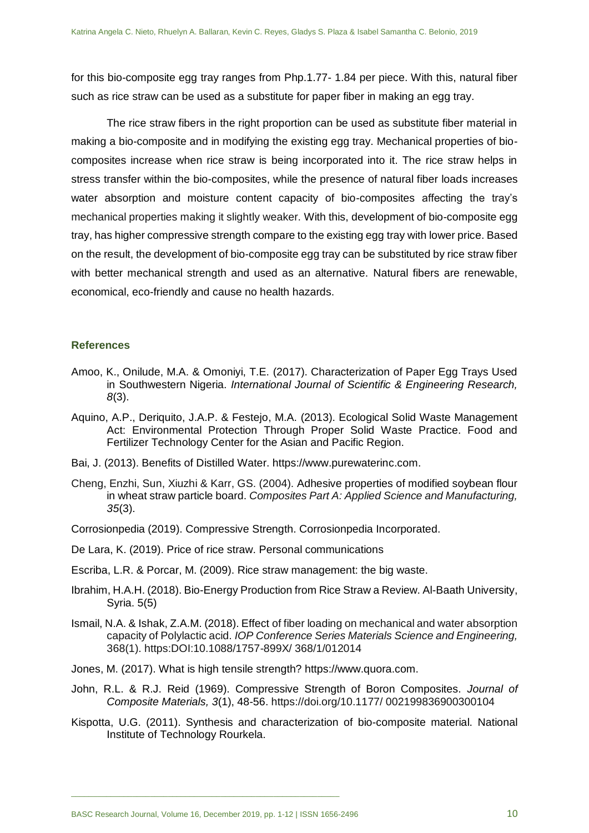for this bio-composite egg tray ranges from Php.1.77- 1.84 per piece. With this, natural fiber such as rice straw can be used as a substitute for paper fiber in making an egg tray.

The rice straw fibers in the right proportion can be used as substitute fiber material in making a bio-composite and in modifying the existing egg tray. Mechanical properties of biocomposites increase when rice straw is being incorporated into it. The rice straw helps in stress transfer within the bio-composites, while the presence of natural fiber loads increases water absorption and moisture content capacity of bio-composites affecting the tray's mechanical properties making it slightly weaker. With this, development of bio-composite egg tray, has higher compressive strength compare to the existing egg tray with lower price. Based on the result, the development of bio-composite egg tray can be substituted by rice straw fiber with better mechanical strength and used as an alternative. Natural fibers are renewable, economical, eco-friendly and cause no health hazards.

#### **References**

- Amoo, K., Onilude, M.A. & Omoniyi, T.E. (2017). Characterization of Paper Egg Trays Used in Southwestern Nigeria. *International Journal of Scientific & Engineering Research, 8*(3).
- Aquino, A.P., Deriquito, J.A.P. & Festejo, M.A. (2013). Ecological Solid Waste Management Act: Environmental Protection Through Proper Solid Waste Practice. Food and Fertilizer Technology Center for the Asian and Pacific Region.
- Bai, J. (2013). Benefits of Distilled Water. https://www.purewaterinc.com.
- Cheng, Enzhi, Sun, Xiuzhi & Karr, GS. (2004). Adhesive properties of modified soybean flour in wheat straw particle board. *Composites Part A: Applied Science and Manufacturing, 35*(3).
- Corrosionpedia (2019). Compressive Strength. Corrosionpedia Incorporated.
- De Lara, K. (2019). Price of rice straw. Personal communications
- Escriba, L.R. & Porcar, M. (2009). Rice straw management: the big waste.
- Ibrahim, H.A.H. (2018). Bio-Energy Production from Rice Straw a Review. Al-Baath University, Syria. 5(5)
- Ismail, N.A. & Ishak, Z.A.M. (2018). Effect of fiber loading on mechanical and water absorption capacity of Polylactic acid. *IOP Conference Series Materials Science and Engineering,* 368(1). https:DOI:10.1088/1757-899X/ 368/1/012014
- Jones, M. (2017). What is high tensile strength? https://www.quora.com.
- John, R.L. & R.J. Reid (1969). Compressive Strength of Boron Composites. *Journal of Composite Materials, 3*(1), 48-56. https://doi.org/10.1177/ 002199836900300104
- Kispotta, U.G. (2011). Synthesis and characterization of bio-composite material. National Institute of Technology Rourkela.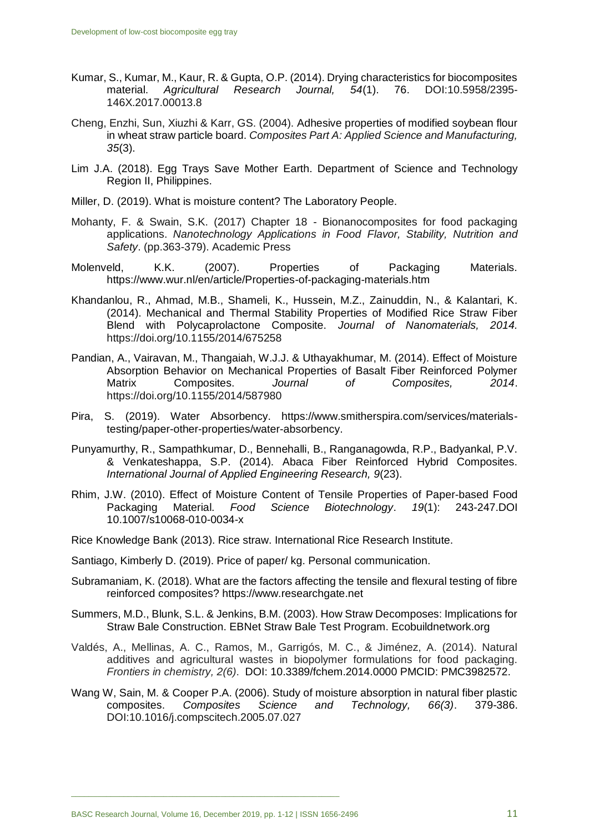- Kumar, S., Kumar, M., Kaur, R. & Gupta, O.P. (2014). Drying characteristics for biocomposites material. *Agricultural Research Journal, 54*(1). 76. DOI:10.5958/2395- 146X.2017.00013.8
- Cheng, Enzhi, Sun, Xiuzhi & Karr, GS. (2004). Adhesive properties of modified soybean flour in wheat straw particle board. *Composites Part A: Applied Science and Manufacturing, 35*(3).
- Lim J.A. (2018). Egg Trays Save Mother Earth. Department of Science and Technology Region II, Philippines.
- Miller, D. (2019). What is moisture content? The Laboratory People.
- Mohanty, F. & Swain, S.K. (2017) Chapter 18 Bionanocomposites for food packaging applications. *Nanotechnology Applications in Food Flavor, Stability, Nutrition and Safety*. (pp.363-379). Academic Press
- Molenveld, K.K. (2007). Properties of Packaging Materials. https://www.wur.nl/en/article/Properties-of-packaging-materials.htm
- Khandanlou, R., Ahmad, M.B., Shameli, K., Hussein, M.Z., Zainuddin, N., & Kalantari, K. (2014). Mechanical and Thermal Stability Properties of Modified Rice Straw Fiber Blend with Polycaprolactone Composite. *Journal of Nanomaterials, 2014.* <https://doi.org/10.1155/2014/675258>
- Pandian, A., Vairavan, M., Thangaiah, W.J.J. & Uthayakhumar, M. (2014). Effect of Moisture Absorption Behavior on Mechanical Properties of Basalt Fiber Reinforced Polymer Matrix Composites. *Journal of Composites, 2014*. <https://doi.org/10.1155/2014/587980>
- Pira, S. (2019). Water Absorbency. https://www.smitherspira.com/services/materialstesting/paper-other-properties/water-absorbency.
- Punyamurthy, R., Sampathkumar, D., Bennehalli, B., Ranganagowda, R.P., Badyankal, P.V. & Venkateshappa, S.P. (2014). Abaca Fiber Reinforced Hybrid Composites. *International Journal of Applied Engineering Research, 9*(23).
- Rhim, J.W. (2010). Effect of Moisture Content of Tensile Properties of Paper-based Food Packaging Material. *Food Science Biotechnology*. *19*(1): 243-247.DOI 10.1007/s10068-010-0034-x
- Rice Knowledge Bank (2013). Rice straw. International Rice Research Institute.
- Santiago, Kimberly D. (2019). Price of paper/ kg. Personal communication.
- Subramaniam, K. (2018). What are the factors affecting the tensile and flexural testing of fibre reinforced composites? https://www.researchgate.net
- Summers, M.D., Blunk, S.L. & Jenkins, B.M. (2003). How Straw Decomposes: Implications for Straw Bale Construction. EBNet Straw Bale Test Program. Ecobuildnetwork.org
- Valdés, A., Mellinas, A. C., Ramos, M., Garrigós, M. C., & Jiménez, A. (2014). Natural additives and agricultural wastes in biopolymer formulations for food packaging. *Frontiers in chemistry, 2(6)*. DOI: 10.3389/fchem.2014.0000 PMCID: PMC3982572.
- Wang W, Sain, M. & Cooper P.A. (2006). Study of moisture absorption in natural fiber plastic composites. *Composites Science and Technology, 66(3)*. 379-386. DOI:10.1016/j.compscitech.2005.07.027